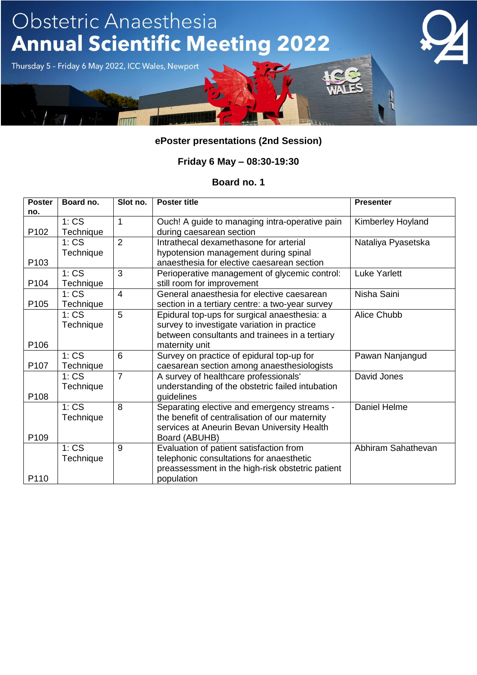

### **Friday 6 May – 08:30-19:30**

| <b>Poster</b><br>no. | Board no.         | Slot no.       | <b>Poster title</b>                                                                                                                                             | <b>Presenter</b>    |
|----------------------|-------------------|----------------|-----------------------------------------------------------------------------------------------------------------------------------------------------------------|---------------------|
| P <sub>102</sub>     | 1:CS<br>Technique | 1              | Ouch! A guide to managing intra-operative pain<br>during caesarean section                                                                                      | Kimberley Hoyland   |
| P103                 | 1:CS<br>Technique | $\overline{2}$ | Intrathecal dexamethasone for arterial<br>hypotension management during spinal<br>anaesthesia for elective caesarean section                                    | Nataliya Pyasetska  |
| P104                 | 1:CS<br>Technique | 3              | Perioperative management of glycemic control:<br>still room for improvement                                                                                     | <b>Luke Yarlett</b> |
| P <sub>105</sub>     | 1:CS<br>Technique | $\overline{4}$ | General anaesthesia for elective caesarean<br>section in a tertiary centre: a two-year survey                                                                   | Nisha Saini         |
| P <sub>106</sub>     | 1:CS<br>Technique | 5              | Epidural top-ups for surgical anaesthesia: a<br>survey to investigate variation in practice<br>between consultants and trainees in a tertiary<br>maternity unit | Alice Chubb         |
| P <sub>107</sub>     | 1:CS<br>Technique | 6              | Survey on practice of epidural top-up for<br>caesarean section among anaesthesiologists                                                                         | Pawan Nanjangud     |
| P108                 | 1:CS<br>Technique | $\overline{7}$ | A survey of healthcare professionals'<br>understanding of the obstetric failed intubation<br>guidelines                                                         | David Jones         |
| P109                 | 1:CS<br>Technique | 8              | Separating elective and emergency streams -<br>the benefit of centralisation of our maternity<br>services at Aneurin Bevan University Health<br>Board (ABUHB)   | Daniel Helme        |
| P110                 | 1:CS<br>Technique | 9              | Evaluation of patient satisfaction from<br>telephonic consultations for anaesthetic<br>preassessment in the high-risk obstetric patient<br>population           | Abhiram Sahathevan  |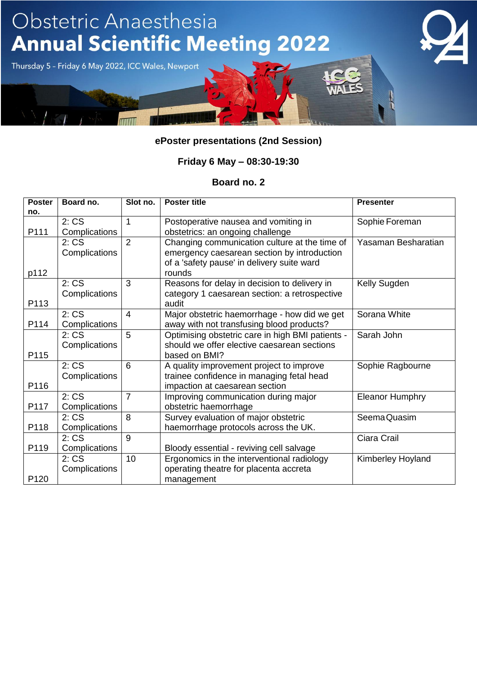

### **Friday 6 May – 08:30-19:30**

| <b>Poster</b> | Board no.     | Slot no.       | <b>Poster title</b>                              | <b>Presenter</b>       |
|---------------|---------------|----------------|--------------------------------------------------|------------------------|
| no.           |               |                |                                                  |                        |
|               | 2:CS          | 1              | Postoperative nausea and vomiting in             | Sophie Foreman         |
| P111          | Complications |                | obstetrics: an ongoing challenge                 |                        |
|               | 2:CS          | $\overline{2}$ | Changing communication culture at the time of    | Yasaman Besharatian    |
|               | Complications |                | emergency caesarean section by introduction      |                        |
|               |               |                | of a 'safety pause' in delivery suite ward       |                        |
| p112          |               |                | rounds                                           |                        |
|               | 2:CS          | 3              | Reasons for delay in decision to delivery in     | Kelly Sugden           |
|               | Complications |                | category 1 caesarean section: a retrospective    |                        |
| P113          |               |                | audit                                            |                        |
|               | 2:CS          | $\overline{4}$ | Major obstetric haemorrhage - how did we get     | Sorana White           |
| P114          | Complications |                | away with not transfusing blood products?        |                        |
|               | 2:CS          | 5              | Optimising obstetric care in high BMI patients - | Sarah John             |
|               | Complications |                | should we offer elective caesarean sections      |                        |
| P115          |               |                | based on BMI?                                    |                        |
|               | 2:CS          | 6              | A quality improvement project to improve         | Sophie Ragbourne       |
|               | Complications |                | trainee confidence in managing fetal head        |                        |
| P116          |               |                | impaction at caesarean section                   |                        |
|               | 2:CS          | $\overline{7}$ | Improving communication during major             | <b>Eleanor Humphry</b> |
| P117          | Complications |                | obstetric haemorrhage                            |                        |
|               | 2:CS          | 8              | Survey evaluation of major obstetric             | Seema Quasim           |
| P118          | Complications |                | haemorrhage protocols across the UK.             |                        |
|               | 2:CS          | 9              |                                                  | Ciara Crail            |
| P119          | Complications |                | Bloody essential - reviving cell salvage         |                        |
|               | 2:CS          | 10             | Ergonomics in the interventional radiology       | Kimberley Hoyland      |
|               | Complications |                | operating theatre for placenta accreta           |                        |
| P120          |               |                | management                                       |                        |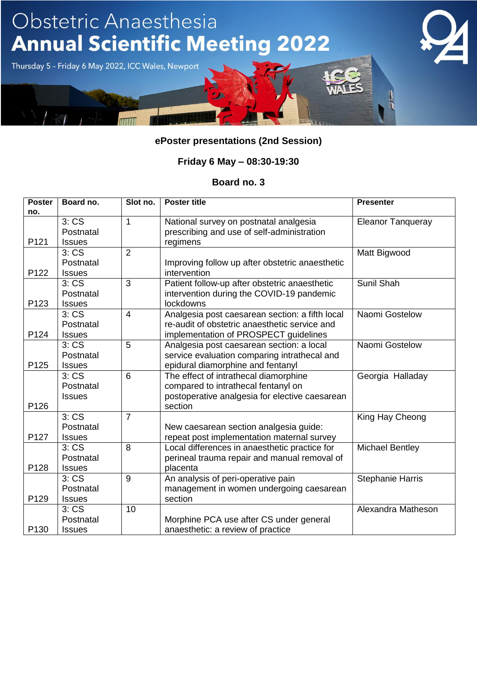

### **Friday 6 May – 08:30-19:30**

| <b>Poster</b><br>no. | Board no.     | Slot no.       | <b>Poster title</b>                             | <b>Presenter</b>         |
|----------------------|---------------|----------------|-------------------------------------------------|--------------------------|
|                      | 3:CS          | 1              | National survey on postnatal analgesia          | <b>Eleanor Tanqueray</b> |
|                      | Postnatal     |                | prescribing and use of self-administration      |                          |
| P121                 | <b>Issues</b> |                | regimens                                        |                          |
|                      | 3:CS          | $\overline{2}$ |                                                 | Matt Bigwood             |
|                      | Postnatal     |                | Improving follow up after obstetric anaesthetic |                          |
| P122                 | <b>Issues</b> |                | intervention                                    |                          |
|                      | 3:CS          | 3              | Patient follow-up after obstetric anaesthetic   | Sunil Shah               |
|                      | Postnatal     |                | intervention during the COVID-19 pandemic       |                          |
| P123                 | <b>Issues</b> |                | lockdowns                                       |                          |
|                      | 3:CS          | $\overline{4}$ | Analgesia post caesarean section: a fifth local | Naomi Gostelow           |
|                      | Postnatal     |                | re-audit of obstetric anaesthetic service and   |                          |
| P124                 | <b>Issues</b> |                | implementation of PROSPECT guidelines           |                          |
|                      | 3:CS          | 5              | Analgesia post caesarean section: a local       | Naomi Gostelow           |
|                      | Postnatal     |                | service evaluation comparing intrathecal and    |                          |
| P125                 | <b>Issues</b> |                | epidural diamorphine and fentanyl               |                          |
|                      | 3:CS          | 6              | The effect of intrathecal diamorphine           | Georgia Halladay         |
|                      | Postnatal     |                | compared to intrathecal fentanyl on             |                          |
|                      | <b>Issues</b> |                | postoperative analgesia for elective caesarean  |                          |
| P126                 |               |                | section                                         |                          |
|                      | 3:CS          | $\overline{7}$ |                                                 | King Hay Cheong          |
|                      | Postnatal     |                | New caesarean section analgesia guide:          |                          |
| P127                 | <b>Issues</b> |                | repeat post implementation maternal survey      |                          |
|                      | 3:CS          | 8              | Local differences in anaesthetic practice for   | <b>Michael Bentley</b>   |
|                      | Postnatal     |                | perineal trauma repair and manual removal of    |                          |
| P128                 | <b>Issues</b> |                | placenta                                        |                          |
|                      | 3:CS          | 9              | An analysis of peri-operative pain              | <b>Stephanie Harris</b>  |
|                      | Postnatal     |                | management in women undergoing caesarean        |                          |
| P129                 | <b>Issues</b> |                | section                                         |                          |
|                      | 3:CS          | 10             |                                                 | Alexandra Matheson       |
|                      | Postnatal     |                | Morphine PCA use after CS under general         |                          |
| P130                 | <b>Issues</b> |                | anaesthetic: a review of practice               |                          |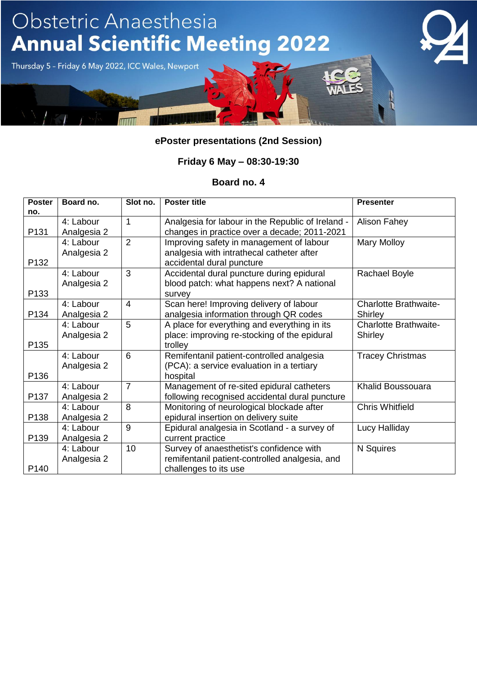

### **Friday 6 May – 08:30-19:30**

| <b>Poster</b><br>no. | Board no.   | Slot no.       | <b>Poster title</b>                               | <b>Presenter</b>             |
|----------------------|-------------|----------------|---------------------------------------------------|------------------------------|
|                      | 4: Labour   | 1              | Analgesia for labour in the Republic of Ireland - | Alison Fahey                 |
| P131                 | Analgesia 2 |                | changes in practice over a decade; 2011-2021      |                              |
|                      | 4: Labour   | $\overline{2}$ | Improving safety in management of labour          | Mary Molloy                  |
|                      | Analgesia 2 |                | analgesia with intrathecal catheter after         |                              |
| P132                 |             |                | accidental dural puncture                         |                              |
|                      | 4: Labour   | 3              | Accidental dural puncture during epidural         | <b>Rachael Boyle</b>         |
|                      | Analgesia 2 |                | blood patch: what happens next? A national        |                              |
| P133                 |             |                | survey                                            |                              |
|                      | 4: Labour   | $\overline{4}$ | Scan here! Improving delivery of labour           | <b>Charlotte Brathwaite-</b> |
| P134                 | Analgesia 2 |                | analgesia information through QR codes            | Shirley                      |
|                      | 4: Labour   | 5              | A place for everything and everything in its      | <b>Charlotte Brathwaite-</b> |
|                      | Analgesia 2 |                | place: improving re-stocking of the epidural      | Shirley                      |
| P135                 |             |                | trolley                                           |                              |
|                      | 4: Labour   | 6              | Remifentanil patient-controlled analgesia         | <b>Tracey Christmas</b>      |
|                      | Analgesia 2 |                | (PCA): a service evaluation in a tertiary         |                              |
| P136                 |             |                | hospital                                          |                              |
|                      | 4: Labour   | $\overline{7}$ | Management of re-sited epidural catheters         | Khalid Boussouara            |
| P137                 | Analgesia 2 |                | following recognised accidental dural puncture    |                              |
|                      | 4: Labour   | 8              | Monitoring of neurological blockade after         | <b>Chris Whitfield</b>       |
| P138                 | Analgesia 2 |                | epidural insertion on delivery suite              |                              |
|                      | 4: Labour   | 9              | Epidural analgesia in Scotland - a survey of      | Lucy Halliday                |
| P139                 | Analgesia 2 |                | current practice                                  |                              |
|                      | 4: Labour   | 10             | Survey of anaesthetist's confidence with          | N Squires                    |
|                      | Analgesia 2 |                | remifentanil patient-controlled analgesia, and    |                              |
| P <sub>140</sub>     |             |                | challenges to its use                             |                              |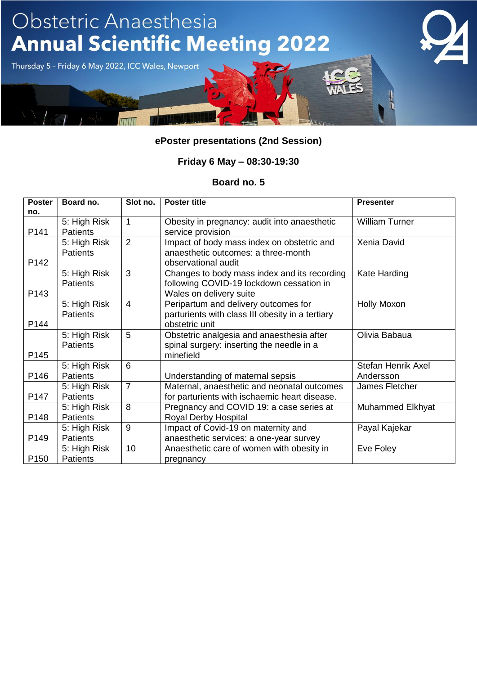

### **Friday 6 May – 08:30-19:30**

| <b>Poster</b><br>no. | Board no.                       | Slot no.       | <b>Poster title</b>                                                                                                 | <b>Presenter</b>                       |
|----------------------|---------------------------------|----------------|---------------------------------------------------------------------------------------------------------------------|----------------------------------------|
| P141                 | 5: High Risk<br><b>Patients</b> | 1              | Obesity in pregnancy: audit into anaesthetic<br>service provision                                                   | <b>William Turner</b>                  |
| P142                 | 5: High Risk<br><b>Patients</b> | $\overline{2}$ | Impact of body mass index on obstetric and<br>anaesthetic outcomes: a three-month<br>observational audit            | Xenia David                            |
| P143                 | 5: High Risk<br><b>Patients</b> | 3              | Changes to body mass index and its recording<br>following COVID-19 lockdown cessation in<br>Wales on delivery suite | Kate Harding                           |
| P144                 | 5: High Risk<br><b>Patients</b> | $\overline{4}$ | Peripartum and delivery outcomes for<br>parturients with class III obesity in a tertiary<br>obstetric unit          | <b>Holly Moxon</b>                     |
| P145                 | 5: High Risk<br><b>Patients</b> | 5              | Obstetric analgesia and anaesthesia after<br>spinal surgery: inserting the needle in a<br>minefield                 | Olivia Babaua                          |
| P146                 | 5: High Risk<br><b>Patients</b> | 6              | Understanding of maternal sepsis                                                                                    | <b>Stefan Henrik Axel</b><br>Andersson |
| P147                 | 5: High Risk<br><b>Patients</b> | $\overline{7}$ | Maternal, anaesthetic and neonatal outcomes<br>for parturients with ischaemic heart disease.                        | James Fletcher                         |
| P148                 | 5: High Risk<br><b>Patients</b> | 8              | Pregnancy and COVID 19: a case series at<br>Royal Derby Hospital                                                    | <b>Muhammed Elkhyat</b>                |
| P149                 | 5: High Risk<br><b>Patients</b> | 9              | Impact of Covid-19 on maternity and<br>anaesthetic services: a one-year survey                                      | Payal Kajekar                          |
| P <sub>150</sub>     | 5: High Risk<br><b>Patients</b> | 10             | Anaesthetic care of women with obesity in<br>pregnancy                                                              | Eve Foley                              |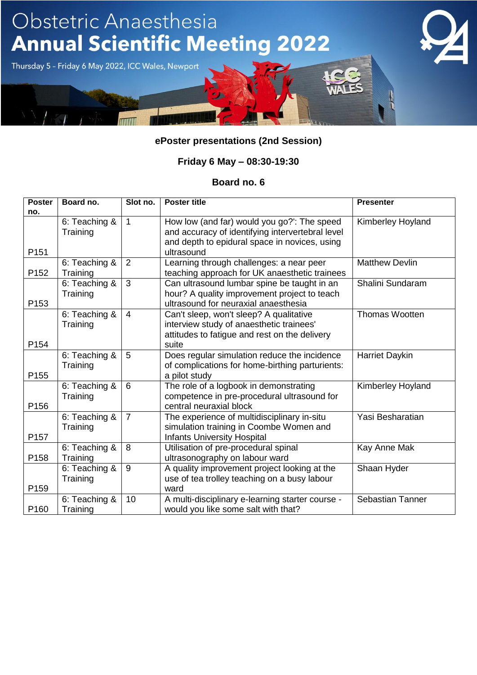

### **Friday 6 May – 08:30-19:30**

| <b>Poster</b>    | Board no.                 | Slot no.       | <b>Poster title</b>                                                                                                                  | <b>Presenter</b>        |
|------------------|---------------------------|----------------|--------------------------------------------------------------------------------------------------------------------------------------|-------------------------|
| no.              |                           |                |                                                                                                                                      |                         |
|                  | 6: Teaching &<br>Training | $\mathbf{1}$   | How low (and far) would you go?": The speed<br>and accuracy of identifying intervertebral level                                      | Kimberley Hoyland       |
| P <sub>151</sub> |                           |                | and depth to epidural space in novices, using<br>ultrasound                                                                          |                         |
| P <sub>152</sub> | 6: Teaching &<br>Training | 2              | Learning through challenges: a near peer<br>teaching approach for UK anaesthetic trainees                                            | <b>Matthew Devlin</b>   |
| P <sub>153</sub> | 6: Teaching &<br>Training | 3              | Can ultrasound lumbar spine be taught in an<br>hour? A quality improvement project to teach<br>ultrasound for neuraxial anaesthesia  | Shalini Sundaram        |
|                  | 6: Teaching &<br>Training | $\overline{4}$ | Can't sleep, won't sleep? A qualitative<br>interview study of anaesthetic trainees'<br>attitudes to fatigue and rest on the delivery | <b>Thomas Wootten</b>   |
| P <sub>154</sub> |                           |                | suite                                                                                                                                |                         |
| P <sub>155</sub> | 6: Teaching &<br>Training | 5              | Does regular simulation reduce the incidence<br>of complications for home-birthing parturients:<br>a pilot study                     | Harriet Daykin          |
| P <sub>156</sub> | 6: Teaching &<br>Training | 6              | The role of a logbook in demonstrating<br>competence in pre-procedural ultrasound for<br>central neuraxial block                     | Kimberley Hoyland       |
| P <sub>157</sub> | 6: Teaching &<br>Training | $\overline{7}$ | The experience of multidisciplinary in-situ<br>simulation training in Coombe Women and<br><b>Infants University Hospital</b>         | Yasi Besharatian        |
| P158             | 6: Teaching &<br>Training | 8              | Utilisation of pre-procedural spinal<br>ultrasonography on labour ward                                                               | Kay Anne Mak            |
| P <sub>159</sub> | 6: Teaching &<br>Training | 9              | A quality improvement project looking at the<br>use of tea trolley teaching on a busy labour<br>ward                                 | Shaan Hyder             |
| P <sub>160</sub> | 6: Teaching &<br>Training | 10             | A multi-disciplinary e-learning starter course -<br>would you like some salt with that?                                              | <b>Sebastian Tanner</b> |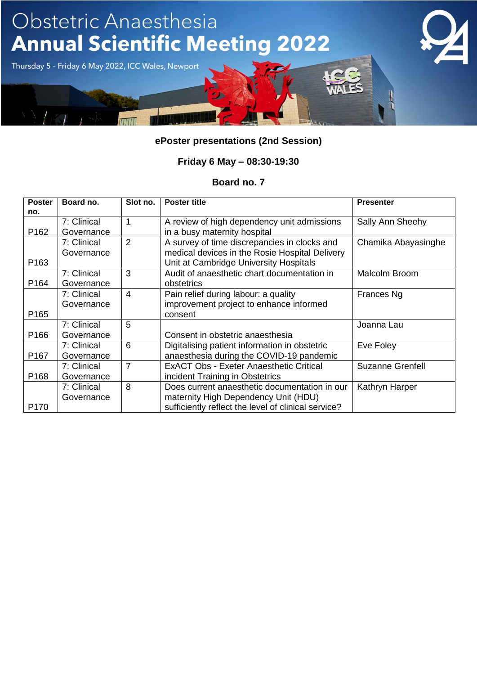

### **Friday 6 May – 08:30-19:30**

| <b>Poster</b><br>no. | Board no.   | Slot no. | <b>Poster title</b>                                 | <b>Presenter</b>        |
|----------------------|-------------|----------|-----------------------------------------------------|-------------------------|
|                      | 7: Clinical | 1        | A review of high dependency unit admissions         | Sally Ann Sheehy        |
| P <sub>162</sub>     | Governance  |          | in a busy maternity hospital                        |                         |
|                      | 7: Clinical | 2        | A survey of time discrepancies in clocks and        | Chamika Abayasinghe     |
|                      | Governance  |          | medical devices in the Rosie Hospital Delivery      |                         |
| P <sub>163</sub>     |             |          | Unit at Cambridge University Hospitals              |                         |
|                      | 7: Clinical | 3        | Audit of anaesthetic chart documentation in         | Malcolm Broom           |
| P164                 | Governance  |          | obstetrics                                          |                         |
|                      | 7: Clinical | 4        | Pain relief during labour: a quality                | Frances Ng              |
|                      | Governance  |          | improvement project to enhance informed             |                         |
| P <sub>165</sub>     |             |          | consent                                             |                         |
|                      | 7: Clinical | 5        |                                                     | Joanna Lau              |
| P <sub>166</sub>     | Governance  |          | Consent in obstetric anaesthesia                    |                         |
|                      | 7: Clinical | 6        | Digitalising patient information in obstetric       | Eve Foley               |
| P <sub>167</sub>     | Governance  |          | anaesthesia during the COVID-19 pandemic            |                         |
|                      | 7: Clinical | 7        | <b>ExACT Obs - Exeter Anaesthetic Critical</b>      | <b>Suzanne Grenfell</b> |
| P <sub>168</sub>     | Governance  |          | incident Training in Obstetrics                     |                         |
|                      | 7: Clinical | 8        | Does current anaesthetic documentation in our       | Kathryn Harper          |
|                      | Governance  |          | maternity High Dependency Unit (HDU)                |                         |
| P <sub>170</sub>     |             |          | sufficiently reflect the level of clinical service? |                         |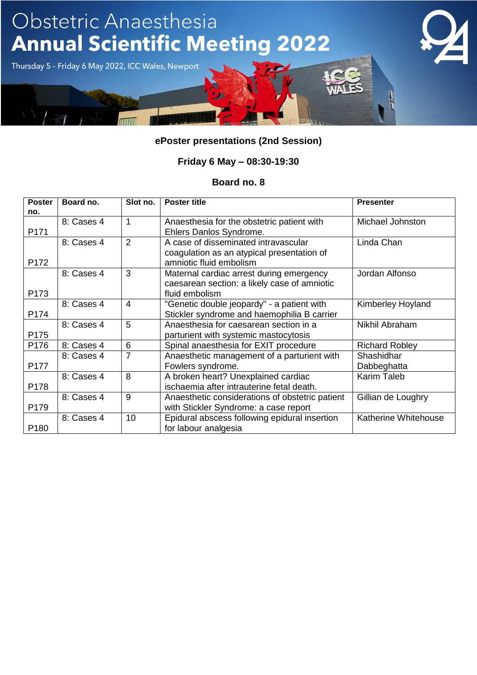

### **Friday 6 May – 08:30-19:30**

| <b>Poster</b><br>no. | Board no.  | Slot no.       | <b>Poster title</b>                                                                                           | <b>Presenter</b>          |
|----------------------|------------|----------------|---------------------------------------------------------------------------------------------------------------|---------------------------|
| P171                 | 8: Cases 4 | 1              | Anaesthesia for the obstetric patient with<br>Ehlers Danlos Syndrome.                                         | Michael Johnston          |
| P172                 | 8: Cases 4 | 2              | A case of disseminated intravascular<br>coagulation as an atypical presentation of<br>amniotic fluid embolism | Linda Chan                |
| P173                 | 8: Cases 4 | 3              | Maternal cardiac arrest during emergency<br>caesarean section: a likely case of amniotic<br>fluid embolism    | Jordan Alfonso            |
| P174                 | 8: Cases 4 | $\overline{4}$ | "Genetic double jeopardy" - a patient with<br>Stickler syndrome and haemophilia B carrier                     | Kimberley Hoyland         |
| P175                 | 8: Cases 4 | 5              | Anaesthesia for caesarean section in a<br>parturient with systemic mastocytosis                               | Nikhil Abraham            |
| P176                 | 8: Cases 4 | 6              | Spinal anaesthesia for EXIT procedure                                                                         | <b>Richard Robley</b>     |
| P177                 | 8: Cases 4 | $\overline{7}$ | Anaesthetic management of a parturient with<br>Fowlers syndrome.                                              | Shashidhar<br>Dabbeghatta |
| P178                 | 8: Cases 4 | 8              | A broken heart? Unexplained cardiac<br>ischaemia after intrauterine fetal death.                              | Karim Taleb               |
| P179                 | 8: Cases 4 | 9              | Anaesthetic considerations of obstetric patient<br>with Stickler Syndrome: a case report                      | Gillian de Loughry        |
| P <sub>180</sub>     | 8: Cases 4 | 10             | Epidural abscess following epidural insertion<br>for labour analgesia                                         | Katherine Whitehouse      |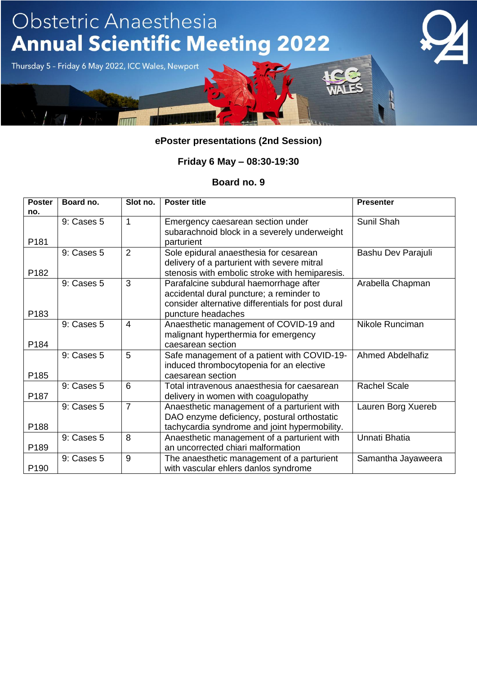

### **Friday 6 May – 08:30-19:30**

| <b>Poster</b><br>no. | Board no.  | Slot no.       | <b>Poster title</b>                                                                                                                                           | <b>Presenter</b>        |
|----------------------|------------|----------------|---------------------------------------------------------------------------------------------------------------------------------------------------------------|-------------------------|
| P181                 | 9: Cases 5 | 1              | Emergency caesarean section under<br>subarachnoid block in a severely underweight<br>parturient                                                               | Sunil Shah              |
| P182                 | 9: Cases 5 | $\overline{2}$ | Sole epidural anaesthesia for cesarean<br>delivery of a parturient with severe mitral<br>stenosis with embolic stroke with hemiparesis.                       | Bashu Dev Parajuli      |
| P183                 | 9: Cases 5 | 3              | Parafalcine subdural haemorrhage after<br>accidental dural puncture; a reminder to<br>consider alternative differentials for post dural<br>puncture headaches | Arabella Chapman        |
| P184                 | 9: Cases 5 | $\overline{4}$ | Anaesthetic management of COVID-19 and<br>malignant hyperthermia for emergency<br>caesarean section                                                           | Nikole Runciman         |
| P185                 | 9: Cases 5 | 5              | Safe management of a patient with COVID-19-<br>induced thrombocytopenia for an elective<br>caesarean section                                                  | <b>Ahmed Abdelhafiz</b> |
| P187                 | 9: Cases 5 | 6              | Total intravenous anaesthesia for caesarean<br>delivery in women with coagulopathy                                                                            | <b>Rachel Scale</b>     |
| P188                 | 9: Cases 5 | $\overline{7}$ | Anaesthetic management of a parturient with<br>DAO enzyme deficiency, postural orthostatic<br>tachycardia syndrome and joint hypermobility.                   | Lauren Borg Xuereb      |
| P189                 | 9: Cases 5 | 8              | Anaesthetic management of a parturient with<br>an uncorrected chiari malformation                                                                             | Unnati Bhatia           |
| P <sub>190</sub>     | 9: Cases 5 | 9              | The anaesthetic management of a parturient<br>with vascular ehlers danlos syndrome                                                                            | Samantha Jayaweera      |